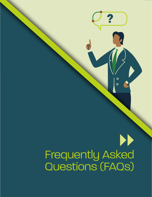# Frequently Asked Questions (FAQs)

Frequently Asked Questions

and Triangle FAST Implementation Playbook

 $\bullet$ 

 $\overline{O}$ 

FAST Network Concept for North Carolina's Research Triangle Region

**?**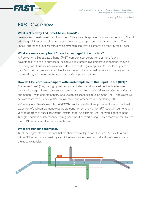

Frequently Asked Questions

# FAST Overview

#### **What is "Freeway And Street-based Transit"?**

Freeway And Street-based Transit – or "FAST" – is a scalable approach for quickly integrating "transit advantage" infrastructure along the roadway system to support enhanced transit service. The "FAST" approach prioritizes transit efficiency and reliability while improving mobility for all users.

#### **What are some examples of "transit advantage" infrastructure?**

A Freeway And Street-based Transit (FAST) corridor incorporates one or more "transit advantages," which are purposeful, scalable infrastructure investments to keep transit moving, including transit priority lanes and shoulders, such as the growing Bus On Shoulder System (BOSS) in the Triangle, as well as direct access ramps, transit signal priority and queue jumps at intersections, and near-level boarding at transit stops and stations.

#### **How do FAST corridors compare with, and complement, Bus Rapid Transit (BRT)?**

*Bus Rapid Transit (BRT)* is a highly visible, concentrated corridor investment with extensive transit advantage infrastructure, served by one or more frequent transit routes. Communities can augment BRT with complementary land use policies to focus development. The Triangle area will activate more than 25 miles of BRT this decade, and other areas are exploring BRT.

*A Freeway And Street-based Transit (FAST) corridor* can effectively provide a low-cost regional extension of and complement to bus rapid transit by enhancing non-BRT roadway segments with varying degrees of transit advantage infrastructure. An example FAST network concept in the Triangle envisions an interconnected regional transit network along 10 area roadways that links to the 5 BRT corridors and future commuter rail.

#### **What are trunkline segments?**

Trunkline segments are corridors that are shared by multiple transit routes. FAST routes could utilize BRT infrastructure creating a trunkline to enhance speed and reliability while eliminating the need to transfer.

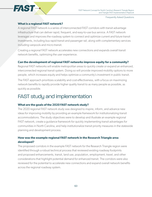

Frequently Asked Questions

#### **What is a regional FAST network?**

A regional FAST network is a series of interconnected FAST corridors with transit advantage infrastructure that can deliver rapid, frequent, and easy-to-use bus service. A FAST network leverages and improves the roadway system to connect and optimize current and future transit investments, including bus rapid transit and passenger rail, along with complementary services including vanpools and micro-transit.

Creating a regional FAST network accelerates new connections and expands overall transit network benefits, optimizing the user experience.

#### **Can the development of regional FAST networks improve equity for a community?**

Regional FAST networks will enable metropolitan areas to quickly create or expand an enhanced, interconnected regional transit system. Doing so will provide improved mobility options to more people, which increases equity and helps optimize a community's investment in public transit.

The FAST approach prioritizes scalability and cost-effectiveness, with a focus on maximizing network benefits to rapidly provide higher quality transit to as many people as possible, as quickly as possible.

## FAST study and implementation

#### **What are the goals of the 2020 FAST network study?**

The 2020 regional FAST network study was designed to inspire, inform, and advance new ideas for improving mobility by providing an example framework for institutionalizing transit accommodations. The study objectives were to develop and illustrate an example regional FAST network, create a guidance framework for quickly implementing transit advantages for communities in North Carolina, and help institutionalize transit priority measures in the statewide planning and development process.

### **How was the example regional FAST network in the Research Triangle area developed?**

The proposed corridors in the example FAST network for the Research Triangle region were identified through a robust technical process that reviewed existing roadway footprints and proposed enhancements, transit, land use, population, employment, travel, and other considerations that highlight potential demand for enhanced transit. The corridors were also reviewed for the potential to accelerate new connections and expand overall network benefits across the regional roadway system.